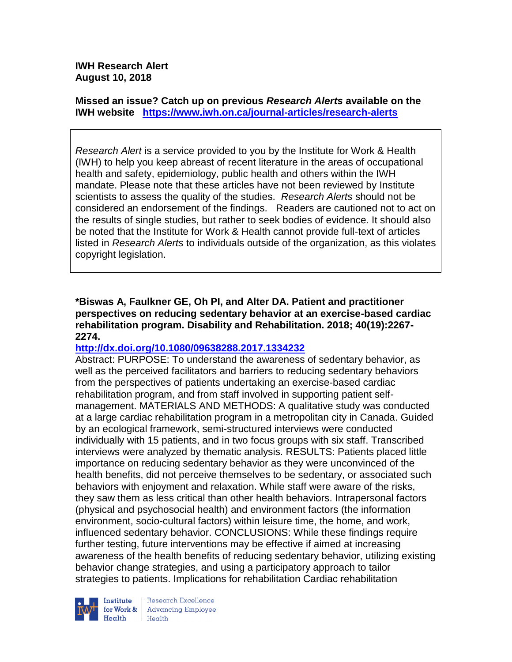### **IWH Research Alert August 10, 2018**

**Missed an issue? Catch up on previous** *Research Alerts* **available on the [IWH website](http://www.iwh.on.ca/research-alerts) <https://www.iwh.on.ca/journal-articles/research-alerts>**

*Research Alert* is a service provided to you by the Institute for Work & Health (IWH) to help you keep abreast of recent literature in the areas of occupational health and safety, epidemiology, public health and others within the IWH mandate. Please note that these articles have not been reviewed by Institute scientists to assess the quality of the studies. *Research Alerts* should not be considered an endorsement of the findings. Readers are cautioned not to act on the results of single studies, but rather to seek bodies of evidence. It should also be noted that the Institute for Work & Health cannot provide full-text of articles listed in *Research Alerts* to individuals outside of the organization, as this violates copyright legislation.

**\*Biswas A, Faulkner GE, Oh PI, and Alter DA. Patient and practitioner perspectives on reducing sedentary behavior at an exercise-based cardiac rehabilitation program. Disability and Rehabilitation. 2018; 40(19):2267- 2274.** 

### **<http://dx.doi.org/10.1080/09638288.2017.1334232>**

Abstract: PURPOSE: To understand the awareness of sedentary behavior, as well as the perceived facilitators and barriers to reducing sedentary behaviors from the perspectives of patients undertaking an exercise-based cardiac rehabilitation program, and from staff involved in supporting patient selfmanagement. MATERIALS AND METHODS: A qualitative study was conducted at a large cardiac rehabilitation program in a metropolitan city in Canada. Guided by an ecological framework, semi-structured interviews were conducted individually with 15 patients, and in two focus groups with six staff. Transcribed interviews were analyzed by thematic analysis. RESULTS: Patients placed little importance on reducing sedentary behavior as they were unconvinced of the health benefits, did not perceive themselves to be sedentary, or associated such behaviors with enjoyment and relaxation. While staff were aware of the risks, they saw them as less critical than other health behaviors. Intrapersonal factors (physical and psychosocial health) and environment factors (the information environment, socio-cultural factors) within leisure time, the home, and work, influenced sedentary behavior. CONCLUSIONS: While these findings require further testing, future interventions may be effective if aimed at increasing awareness of the health benefits of reducing sedentary behavior, utilizing existing behavior change strategies, and using a participatory approach to tailor strategies to patients. Implications for rehabilitation Cardiac rehabilitation



**Institute** Research Excellence<br> **for Work &** Advancing Employee<br> **Health** Health Health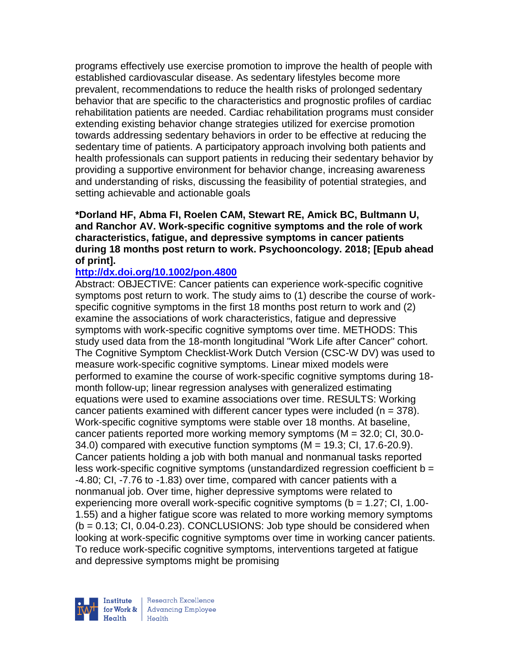programs effectively use exercise promotion to improve the health of people with established cardiovascular disease. As sedentary lifestyles become more prevalent, recommendations to reduce the health risks of prolonged sedentary behavior that are specific to the characteristics and prognostic profiles of cardiac rehabilitation patients are needed. Cardiac rehabilitation programs must consider extending existing behavior change strategies utilized for exercise promotion towards addressing sedentary behaviors in order to be effective at reducing the sedentary time of patients. A participatory approach involving both patients and health professionals can support patients in reducing their sedentary behavior by providing a supportive environment for behavior change, increasing awareness and understanding of risks, discussing the feasibility of potential strategies, and setting achievable and actionable goals

### **\*Dorland HF, Abma FI, Roelen CAM, Stewart RE, Amick BC, Bultmann U, and Ranchor AV. Work-specific cognitive symptoms and the role of work characteristics, fatigue, and depressive symptoms in cancer patients during 18 months post return to work. Psychooncology. 2018; [Epub ahead of print].**

#### **<http://dx.doi.org/10.1002/pon.4800>**

Abstract: OBJECTIVE: Cancer patients can experience work-specific cognitive symptoms post return to work. The study aims to (1) describe the course of workspecific cognitive symptoms in the first 18 months post return to work and (2) examine the associations of work characteristics, fatigue and depressive symptoms with work-specific cognitive symptoms over time. METHODS: This study used data from the 18-month longitudinal "Work Life after Cancer" cohort. The Cognitive Symptom Checklist-Work Dutch Version (CSC-W DV) was used to measure work-specific cognitive symptoms. Linear mixed models were performed to examine the course of work-specific cognitive symptoms during 18 month follow-up; linear regression analyses with generalized estimating equations were used to examine associations over time. RESULTS: Working cancer patients examined with different cancer types were included ( $n = 378$ ). Work-specific cognitive symptoms were stable over 18 months. At baseline, cancer patients reported more working memory symptoms (M = 32.0; CI, 30.0- 34.0) compared with executive function symptoms (M = 19.3; CI, 17.6-20.9). Cancer patients holding a job with both manual and nonmanual tasks reported less work-specific cognitive symptoms (unstandardized regression coefficient b = -4.80; CI, -7.76 to -1.83) over time, compared with cancer patients with a nonmanual job. Over time, higher depressive symptoms were related to experiencing more overall work-specific cognitive symptoms ( $b = 1.27$ ; CI, 1.00-1.55) and a higher fatigue score was related to more working memory symptoms  $(b = 0.13; C1, 0.04-0.23)$ . CONCLUSIONS: Job type should be considered when looking at work-specific cognitive symptoms over time in working cancer patients. To reduce work-specific cognitive symptoms, interventions targeted at fatigue and depressive symptoms might be promising

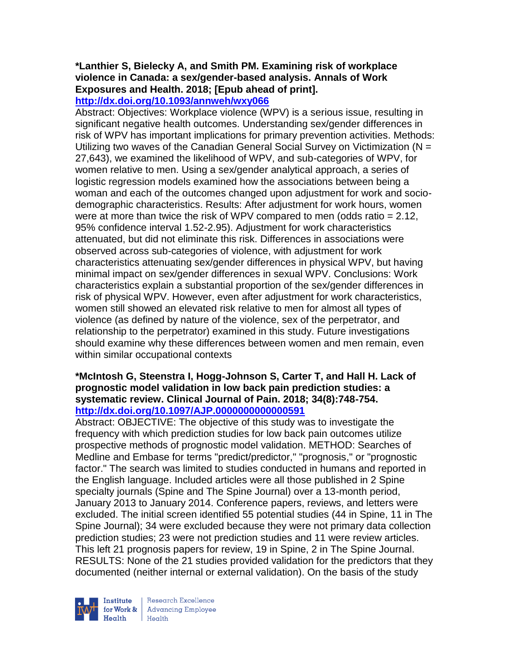# **\*Lanthier S, Bielecky A, and Smith PM. Examining risk of workplace violence in Canada: a sex/gender-based analysis. Annals of Work Exposures and Health. 2018; [Epub ahead of print].**

**<http://dx.doi.org/10.1093/annweh/wxy066>**

Abstract: Objectives: Workplace violence (WPV) is a serious issue, resulting in significant negative health outcomes. Understanding sex/gender differences in risk of WPV has important implications for primary prevention activities. Methods: Utilizing two waves of the Canadian General Social Survey on Victimization ( $N =$ 27,643), we examined the likelihood of WPV, and sub-categories of WPV, for women relative to men. Using a sex/gender analytical approach, a series of logistic regression models examined how the associations between being a woman and each of the outcomes changed upon adjustment for work and sociodemographic characteristics. Results: After adjustment for work hours, women were at more than twice the risk of WPV compared to men (odds ratio = 2.12, 95% confidence interval 1.52-2.95). Adjustment for work characteristics attenuated, but did not eliminate this risk. Differences in associations were observed across sub-categories of violence, with adjustment for work characteristics attenuating sex/gender differences in physical WPV, but having minimal impact on sex/gender differences in sexual WPV. Conclusions: Work characteristics explain a substantial proportion of the sex/gender differences in risk of physical WPV. However, even after adjustment for work characteristics, women still showed an elevated risk relative to men for almost all types of violence (as defined by nature of the violence, sex of the perpetrator, and relationship to the perpetrator) examined in this study. Future investigations should examine why these differences between women and men remain, even within similar occupational contexts

### **\*McIntosh G, Steenstra I, Hogg-Johnson S, Carter T, and Hall H. Lack of prognostic model validation in low back pain prediction studies: a systematic review. Clinical Journal of Pain. 2018; 34(8):748-754. <http://dx.doi.org/10.1097/AJP.0000000000000591>**

Abstract: OBJECTIVE: The objective of this study was to investigate the frequency with which prediction studies for low back pain outcomes utilize prospective methods of prognostic model validation. METHOD: Searches of Medline and Embase for terms "predict/predictor," "prognosis," or "prognostic factor." The search was limited to studies conducted in humans and reported in the English language. Included articles were all those published in 2 Spine specialty journals (Spine and The Spine Journal) over a 13-month period, January 2013 to January 2014. Conference papers, reviews, and letters were excluded. The initial screen identified 55 potential studies (44 in Spine, 11 in The Spine Journal); 34 were excluded because they were not primary data collection prediction studies; 23 were not prediction studies and 11 were review articles. This left 21 prognosis papers for review, 19 in Spine, 2 in The Spine Journal. RESULTS: None of the 21 studies provided validation for the predictors that they documented (neither internal or external validation). On the basis of the study



Research Excellence for Work & | Advancing Employee Health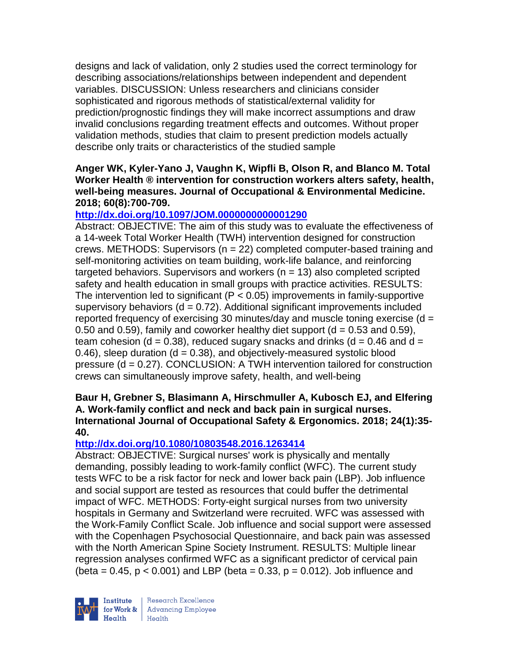designs and lack of validation, only 2 studies used the correct terminology for describing associations/relationships between independent and dependent variables. DISCUSSION: Unless researchers and clinicians consider sophisticated and rigorous methods of statistical/external validity for prediction/prognostic findings they will make incorrect assumptions and draw invalid conclusions regarding treatment effects and outcomes. Without proper validation methods, studies that claim to present prediction models actually describe only traits or characteristics of the studied sample

### **Anger WK, Kyler-Yano J, Vaughn K, Wipfli B, Olson R, and Blanco M. Total Worker Health ® intervention for construction workers alters safety, health, well-being measures. Journal of Occupational & Environmental Medicine. 2018; 60(8):700-709.**

# **<http://dx.doi.org/10.1097/JOM.0000000000001290>**

Abstract: OBJECTIVE: The aim of this study was to evaluate the effectiveness of a 14-week Total Worker Health (TWH) intervention designed for construction crews. METHODS: Supervisors (n = 22) completed computer-based training and self-monitoring activities on team building, work-life balance, and reinforcing targeted behaviors. Supervisors and workers  $(n = 13)$  also completed scripted safety and health education in small groups with practice activities. RESULTS: The intervention led to significant ( $P < 0.05$ ) improvements in family-supportive supervisory behaviors ( $d = 0.72$ ). Additional significant improvements included reported frequency of exercising 30 minutes/day and muscle toning exercise  $(d =$ 0.50 and 0.59), family and coworker healthy diet support  $(d = 0.53$  and 0.59), team cohesion (d = 0.38), reduced sugary snacks and drinks (d = 0.46 and d =  $0.46$ ), sleep duration (d = 0.38), and objectively-measured systolic blood pressure (d = 0.27). CONCLUSION: A TWH intervention tailored for construction crews can simultaneously improve safety, health, and well-being

### **Baur H, Grebner S, Blasimann A, Hirschmuller A, Kubosch EJ, and Elfering A. Work-family conflict and neck and back pain in surgical nurses. International Journal of Occupational Safety & Ergonomics. 2018; 24(1):35- 40.**

# **<http://dx.doi.org/10.1080/10803548.2016.1263414>**

Abstract: OBJECTIVE: Surgical nurses' work is physically and mentally demanding, possibly leading to work-family conflict (WFC). The current study tests WFC to be a risk factor for neck and lower back pain (LBP). Job influence and social support are tested as resources that could buffer the detrimental impact of WFC. METHODS: Forty-eight surgical nurses from two university hospitals in Germany and Switzerland were recruited. WFC was assessed with the Work-Family Conflict Scale. Job influence and social support were assessed with the Copenhagen Psychosocial Questionnaire, and back pain was assessed with the North American Spine Society Instrument. RESULTS: Multiple linear regression analyses confirmed WFC as a significant predictor of cervical pain (beta =  $0.45$ ,  $p < 0.001$ ) and LBP (beta =  $0.33$ ,  $p = 0.012$ ). Job influence and



Research Excellence for Work & | Advancing Employee  $H_{\text{each}}$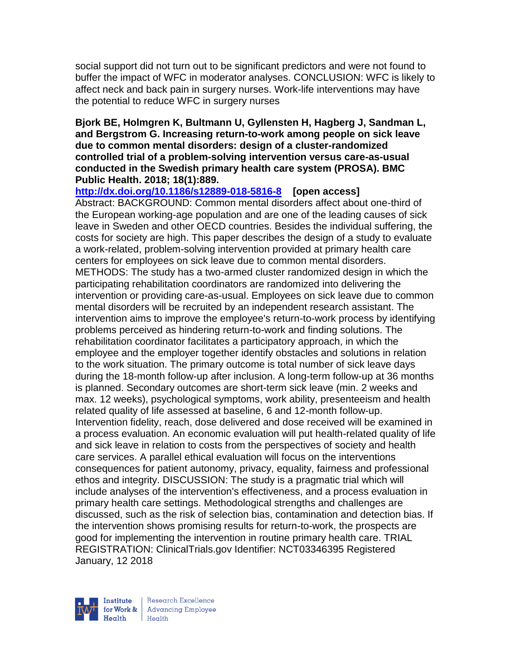social support did not turn out to be significant predictors and were not found to buffer the impact of WFC in moderator analyses. CONCLUSION: WFC is likely to affect neck and back pain in surgery nurses. Work-life interventions may have the potential to reduce WFC in surgery nurses

#### **Bjork BE, Holmgren K, Bultmann U, Gyllensten H, Hagberg J, Sandman L, and Bergstrom G. Increasing return-to-work among people on sick leave due to common mental disorders: design of a cluster-randomized controlled trial of a problem-solving intervention versus care-as-usual conducted in the Swedish primary health care system (PROSA). BMC Public Health. 2018; 18(1):889.**

**<http://dx.doi.org/10.1186/s12889-018-5816-8>[open access]**

Abstract: BACKGROUND: Common mental disorders affect about one-third of the European working-age population and are one of the leading causes of sick leave in Sweden and other OECD countries. Besides the individual suffering, the costs for society are high. This paper describes the design of a study to evaluate a work-related, problem-solving intervention provided at primary health care centers for employees on sick leave due to common mental disorders. METHODS: The study has a two-armed cluster randomized design in which the participating rehabilitation coordinators are randomized into delivering the intervention or providing care-as-usual. Employees on sick leave due to common mental disorders will be recruited by an independent research assistant. The intervention aims to improve the employee's return-to-work process by identifying problems perceived as hindering return-to-work and finding solutions. The rehabilitation coordinator facilitates a participatory approach, in which the employee and the employer together identify obstacles and solutions in relation to the work situation. The primary outcome is total number of sick leave days during the 18-month follow-up after inclusion. A long-term follow-up at 36 months is planned. Secondary outcomes are short-term sick leave (min. 2 weeks and max. 12 weeks), psychological symptoms, work ability, presenteeism and health related quality of life assessed at baseline, 6 and 12-month follow-up. Intervention fidelity, reach, dose delivered and dose received will be examined in a process evaluation. An economic evaluation will put health-related quality of life and sick leave in relation to costs from the perspectives of society and health care services. A parallel ethical evaluation will focus on the interventions consequences for patient autonomy, privacy, equality, fairness and professional ethos and integrity. DISCUSSION: The study is a pragmatic trial which will include analyses of the intervention's effectiveness, and a process evaluation in primary health care settings. Methodological strengths and challenges are discussed, such as the risk of selection bias, contamination and detection bias. If the intervention shows promising results for return-to-work, the prospects are good for implementing the intervention in routine primary health care. TRIAL REGISTRATION: ClinicalTrials.gov Identifier: NCT03346395 Registered January, 12 2018



Research Excellence for Work & | Advancing Employee  $H_{\text{eath}}$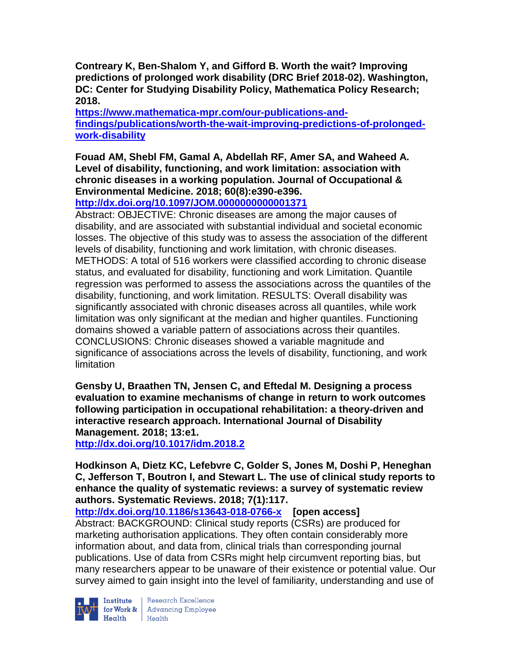**Contreary K, Ben-Shalom Y, and Gifford B. Worth the wait? Improving predictions of prolonged work disability (DRC Brief 2018-02). Washington, DC: Center for Studying Disability Policy, Mathematica Policy Research; 2018.** 

**[https://www.mathematica-mpr.com/our-publications-and](https://www.mathematica-mpr.com/our-publications-and-findings/publications/worth-the-wait-improving-predictions-of-prolonged-work-disability)[findings/publications/worth-the-wait-improving-predictions-of-prolonged](https://www.mathematica-mpr.com/our-publications-and-findings/publications/worth-the-wait-improving-predictions-of-prolonged-work-disability)[work-disability](https://www.mathematica-mpr.com/our-publications-and-findings/publications/worth-the-wait-improving-predictions-of-prolonged-work-disability)**

**Fouad AM, Shebl FM, Gamal A, Abdellah RF, Amer SA, and Waheed A. Level of disability, functioning, and work limitation: association with chronic diseases in a working population. Journal of Occupational & Environmental Medicine. 2018; 60(8):e390-e396.** 

**<http://dx.doi.org/10.1097/JOM.0000000000001371>**

Abstract: OBJECTIVE: Chronic diseases are among the major causes of disability, and are associated with substantial individual and societal economic losses. The objective of this study was to assess the association of the different levels of disability, functioning and work limitation, with chronic diseases. METHODS: A total of 516 workers were classified according to chronic disease status, and evaluated for disability, functioning and work Limitation. Quantile regression was performed to assess the associations across the quantiles of the disability, functioning, and work limitation. RESULTS: Overall disability was significantly associated with chronic diseases across all quantiles, while work limitation was only significant at the median and higher quantiles. Functioning domains showed a variable pattern of associations across their quantiles. CONCLUSIONS: Chronic diseases showed a variable magnitude and significance of associations across the levels of disability, functioning, and work limitation

**Gensby U, Braathen TN, Jensen C, and Eftedal M. Designing a process evaluation to examine mechanisms of change in return to work outcomes following participation in occupational rehabilitation: a theory-driven and interactive research approach. International Journal of Disability Management. 2018; 13:e1.**

**<http://dx.doi.org/10.1017/idm.2018.2>**

**Hodkinson A, Dietz KC, Lefebvre C, Golder S, Jones M, Doshi P, Heneghan C, Jefferson T, Boutron I, and Stewart L. The use of clinical study reports to enhance the quality of systematic reviews: a survey of systematic review authors. Systematic Reviews. 2018; 7(1):117.**

**<http://dx.doi.org/10.1186/s13643-018-0766-x>[open access]** Abstract: BACKGROUND: Clinical study reports (CSRs) are produced for marketing authorisation applications. They often contain considerably more information about, and data from, clinical trials than corresponding journal publications. Use of data from CSRs might help circumvent reporting bias, but many researchers appear to be unaware of their existence or potential value. Our survey aimed to gain insight into the level of familiarity, understanding and use of



**Institute** Research Excellence<br> **for Work &** Advancing Employee<br> **Health** Health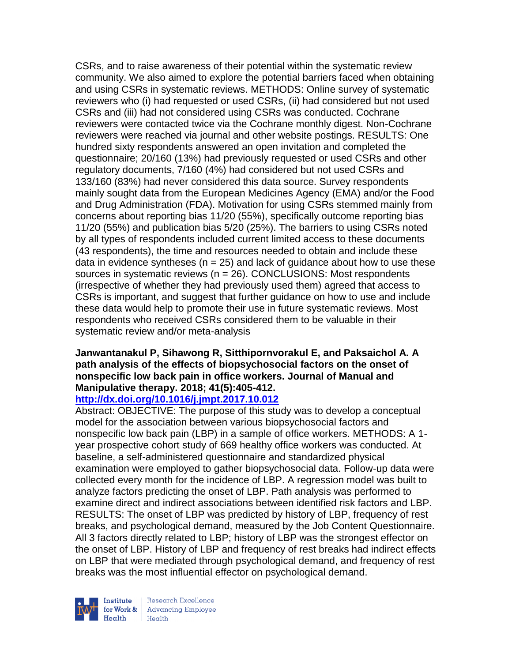CSRs, and to raise awareness of their potential within the systematic review community. We also aimed to explore the potential barriers faced when obtaining and using CSRs in systematic reviews. METHODS: Online survey of systematic reviewers who (i) had requested or used CSRs, (ii) had considered but not used CSRs and (iii) had not considered using CSRs was conducted. Cochrane reviewers were contacted twice via the Cochrane monthly digest. Non-Cochrane reviewers were reached via journal and other website postings. RESULTS: One hundred sixty respondents answered an open invitation and completed the questionnaire; 20/160 (13%) had previously requested or used CSRs and other regulatory documents, 7/160 (4%) had considered but not used CSRs and 133/160 (83%) had never considered this data source. Survey respondents mainly sought data from the European Medicines Agency (EMA) and/or the Food and Drug Administration (FDA). Motivation for using CSRs stemmed mainly from concerns about reporting bias 11/20 (55%), specifically outcome reporting bias 11/20 (55%) and publication bias 5/20 (25%). The barriers to using CSRs noted by all types of respondents included current limited access to these documents (43 respondents), the time and resources needed to obtain and include these data in evidence syntheses ( $n = 25$ ) and lack of guidance about how to use these sources in systematic reviews (n = 26). CONCLUSIONS: Most respondents (irrespective of whether they had previously used them) agreed that access to CSRs is important, and suggest that further guidance on how to use and include these data would help to promote their use in future systematic reviews. Most respondents who received CSRs considered them to be valuable in their systematic review and/or meta-analysis

# **Janwantanakul P, Sihawong R, Sitthipornvorakul E, and Paksaichol A. A path analysis of the effects of biopsychosocial factors on the onset of nonspecific low back pain in office workers. Journal of Manual and Manipulative therapy. 2018; 41(5):405-412.**

### **<http://dx.doi.org/10.1016/j.jmpt.2017.10.012>**

Abstract: OBJECTIVE: The purpose of this study was to develop a conceptual model for the association between various biopsychosocial factors and nonspecific low back pain (LBP) in a sample of office workers. METHODS: A 1 year prospective cohort study of 669 healthy office workers was conducted. At baseline, a self-administered questionnaire and standardized physical examination were employed to gather biopsychosocial data. Follow-up data were collected every month for the incidence of LBP. A regression model was built to analyze factors predicting the onset of LBP. Path analysis was performed to examine direct and indirect associations between identified risk factors and LBP. RESULTS: The onset of LBP was predicted by history of LBP, frequency of rest breaks, and psychological demand, measured by the Job Content Questionnaire. All 3 factors directly related to LBP; history of LBP was the strongest effector on the onset of LBP. History of LBP and frequency of rest breaks had indirect effects on LBP that were mediated through psychological demand, and frequency of rest breaks was the most influential effector on psychological demand.

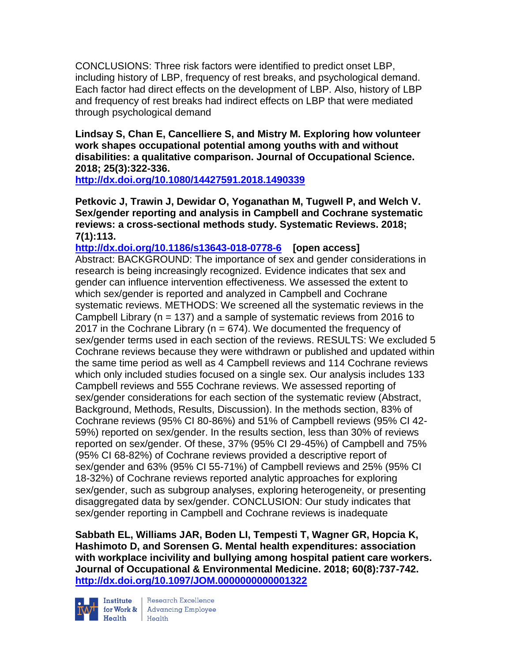CONCLUSIONS: Three risk factors were identified to predict onset LBP, including history of LBP, frequency of rest breaks, and psychological demand. Each factor had direct effects on the development of LBP. Also, history of LBP and frequency of rest breaks had indirect effects on LBP that were mediated through psychological demand

**Lindsay S, Chan E, Cancelliere S, and Mistry M. Exploring how volunteer work shapes occupational potential among youths with and without disabilities: a qualitative comparison. Journal of Occupational Science. 2018; 25(3):322-336.** 

**<http://dx.doi.org/10.1080/14427591.2018.1490339>**

**Petkovic J, Trawin J, Dewidar O, Yoganathan M, Tugwell P, and Welch V. Sex/gender reporting and analysis in Campbell and Cochrane systematic reviews: a cross-sectional methods study. Systematic Reviews. 2018; 7(1):113.**

**<http://dx.doi.org/10.1186/s13643-018-0778-6>[open access]** Abstract: BACKGROUND: The importance of sex and gender considerations in research is being increasingly recognized. Evidence indicates that sex and gender can influence intervention effectiveness. We assessed the extent to which sex/gender is reported and analyzed in Campbell and Cochrane systematic reviews. METHODS: We screened all the systematic reviews in the Campbell Library ( $n = 137$ ) and a sample of systematic reviews from 2016 to 2017 in the Cochrane Library ( $n = 674$ ). We documented the frequency of sex/gender terms used in each section of the reviews. RESULTS: We excluded 5 Cochrane reviews because they were withdrawn or published and updated within the same time period as well as 4 Campbell reviews and 114 Cochrane reviews which only included studies focused on a single sex. Our analysis includes 133 Campbell reviews and 555 Cochrane reviews. We assessed reporting of sex/gender considerations for each section of the systematic review (Abstract, Background, Methods, Results, Discussion). In the methods section, 83% of Cochrane reviews (95% CI 80-86%) and 51% of Campbell reviews (95% CI 42- 59%) reported on sex/gender. In the results section, less than 30% of reviews reported on sex/gender. Of these, 37% (95% CI 29-45%) of Campbell and 75% (95% CI 68-82%) of Cochrane reviews provided a descriptive report of sex/gender and 63% (95% CI 55-71%) of Campbell reviews and 25% (95% CI 18-32%) of Cochrane reviews reported analytic approaches for exploring sex/gender, such as subgroup analyses, exploring heterogeneity, or presenting disaggregated data by sex/gender. CONCLUSION: Our study indicates that sex/gender reporting in Campbell and Cochrane reviews is inadequate

**Sabbath EL, Williams JAR, Boden LI, Tempesti T, Wagner GR, Hopcia K, Hashimoto D, and Sorensen G. Mental health expenditures: association with workplace incivility and bullying among hospital patient care workers. Journal of Occupational & Environmental Medicine. 2018; 60(8):737-742. <http://dx.doi.org/10.1097/JOM.0000000000001322>**



Institute Research Excellence<br>for Work & Advancing Employee<br>Health Health  $H$ ealth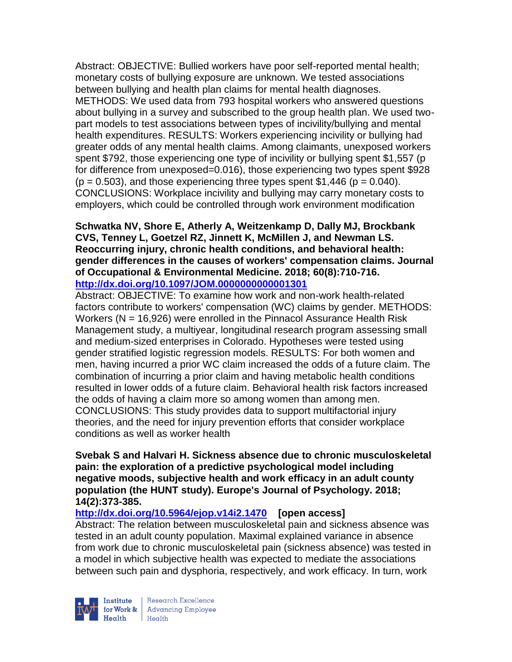Abstract: OBJECTIVE: Bullied workers have poor self-reported mental health; monetary costs of bullying exposure are unknown. We tested associations between bullying and health plan claims for mental health diagnoses. METHODS: We used data from 793 hospital workers who answered questions about bullying in a survey and subscribed to the group health plan. We used twopart models to test associations between types of incivility/bullying and mental health expenditures. RESULTS: Workers experiencing incivility or bullying had greater odds of any mental health claims. Among claimants, unexposed workers spent \$792, those experiencing one type of incivility or bullying spent \$1,557 (p for difference from unexposed=0.016), those experiencing two types spent \$928  $(p = 0.503)$ , and those experiencing three types spent \$1,446 ( $p = 0.040$ ). CONCLUSIONS: Workplace incivility and bullying may carry monetary costs to employers, which could be controlled through work environment modification

**Schwatka NV, Shore E, Atherly A, Weitzenkamp D, Dally MJ, Brockbank CVS, Tenney L, Goetzel RZ, Jinnett K, McMillen J, and Newman LS. Reoccurring injury, chronic health conditions, and behavioral health: gender differences in the causes of workers' compensation claims. Journal of Occupational & Environmental Medicine. 2018; 60(8):710-716. <http://dx.doi.org/10.1097/JOM.0000000000001301>**

Abstract: OBJECTIVE: To examine how work and non-work health-related factors contribute to workers' compensation (WC) claims by gender. METHODS: Workers (N = 16,926) were enrolled in the Pinnacol Assurance Health Risk Management study, a multiyear, longitudinal research program assessing small and medium-sized enterprises in Colorado. Hypotheses were tested using gender stratified logistic regression models. RESULTS: For both women and men, having incurred a prior WC claim increased the odds of a future claim. The combination of incurring a prior claim and having metabolic health conditions resulted in lower odds of a future claim. Behavioral health risk factors increased the odds of having a claim more so among women than among men. CONCLUSIONS: This study provides data to support multifactorial injury theories, and the need for injury prevention efforts that consider workplace conditions as well as worker health

**Svebak S and Halvari H. Sickness absence due to chronic musculoskeletal pain: the exploration of a predictive psychological model including negative moods, subjective health and work efficacy in an adult county population (the HUNT study). Europe's Journal of Psychology. 2018; 14(2):373-385.** 

**<http://dx.doi.org/10.5964/ejop.v14i2.1470>[open access]**

Abstract: The relation between musculoskeletal pain and sickness absence was tested in an adult county population. Maximal explained variance in absence from work due to chronic musculoskeletal pain (sickness absence) was tested in a model in which subjective health was expected to mediate the associations between such pain and dysphoria, respectively, and work efficacy. In turn, work



Research Excellence for Work & | Advancing Employee  $Heath$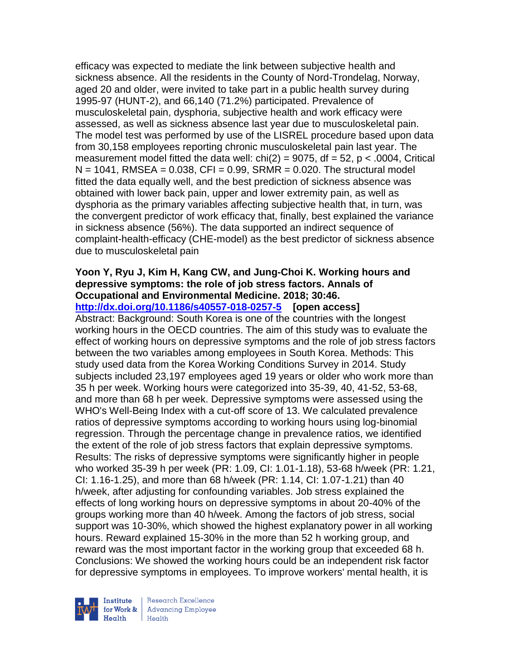efficacy was expected to mediate the link between subjective health and sickness absence. All the residents in the County of Nord-Trondelag, Norway, aged 20 and older, were invited to take part in a public health survey during 1995-97 (HUNT-2), and 66,140 (71.2%) participated. Prevalence of musculoskeletal pain, dysphoria, subjective health and work efficacy were assessed, as well as sickness absence last year due to musculoskeletal pain. The model test was performed by use of the LISREL procedure based upon data from 30,158 employees reporting chronic musculoskeletal pain last year. The measurement model fitted the data well:  $\text{chi}(2) = 9075$ , df = 52, p < .0004, Critical  $N = 1041$ , RMSEA = 0.038, CFI = 0.99, SRMR = 0.020. The structural model fitted the data equally well, and the best prediction of sickness absence was obtained with lower back pain, upper and lower extremity pain, as well as dysphoria as the primary variables affecting subjective health that, in turn, was the convergent predictor of work efficacy that, finally, best explained the variance in sickness absence (56%). The data supported an indirect sequence of complaint-health-efficacy (CHE-model) as the best predictor of sickness absence due to musculoskeletal pain

# **Yoon Y, Ryu J, Kim H, Kang CW, and Jung-Choi K. Working hours and depressive symptoms: the role of job stress factors. Annals of Occupational and Environmental Medicine. 2018; 30:46.**

**<http://dx.doi.org/10.1186/s40557-018-0257-5>[open access]**

Abstract: Background: South Korea is one of the countries with the longest working hours in the OECD countries. The aim of this study was to evaluate the effect of working hours on depressive symptoms and the role of job stress factors between the two variables among employees in South Korea. Methods: This study used data from the Korea Working Conditions Survey in 2014. Study subjects included 23,197 employees aged 19 years or older who work more than 35 h per week. Working hours were categorized into 35-39, 40, 41-52, 53-68, and more than 68 h per week. Depressive symptoms were assessed using the WHO's Well-Being Index with a cut-off score of 13. We calculated prevalence ratios of depressive symptoms according to working hours using log-binomial regression. Through the percentage change in prevalence ratios, we identified the extent of the role of job stress factors that explain depressive symptoms. Results: The risks of depressive symptoms were significantly higher in people who worked 35-39 h per week (PR: 1.09, CI: 1.01-1.18), 53-68 h/week (PR: 1.21, CI: 1.16-1.25), and more than 68 h/week (PR: 1.14, CI: 1.07-1.21) than 40 h/week, after adjusting for confounding variables. Job stress explained the effects of long working hours on depressive symptoms in about 20-40% of the groups working more than 40 h/week. Among the factors of job stress, social support was 10-30%, which showed the highest explanatory power in all working hours. Reward explained 15-30% in the more than 52 h working group, and reward was the most important factor in the working group that exceeded 68 h. Conclusions: We showed the working hours could be an independent risk factor for depressive symptoms in employees. To improve workers' mental health, it is



Research Excellence for Work & | Advancing Employee  $H$ ealth